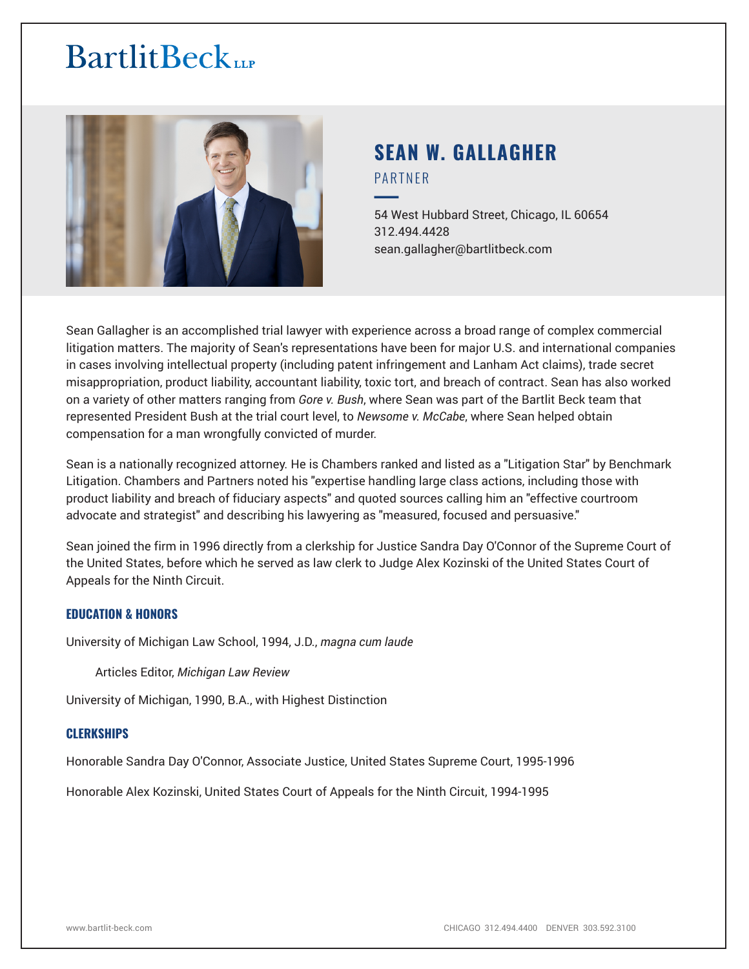# **BartlitBeck**LLP



# **SEAN W. GALLAGHER** PARTNER

54 West Hubbard Street, Chicago, IL 60654 312.494.4428 sean.gallagher@bartlitbeck.com

Sean Gallagher is an accomplished trial lawyer with experience across a broad range of complex commercial litigation matters. The majority of Sean's representations have been for major U.S. and international companies in cases involving intellectual property (including patent infringement and Lanham Act claims), trade secret misappropriation, product liability, accountant liability, toxic tort, and breach of contract. Sean has also worked on a variety of other matters ranging from *Gore v. Bush*, where Sean was part of the Bartlit Beck team that represented President Bush at the trial court level, to *Newsome v. McCabe*, where Sean helped obtain compensation for a man wrongfully convicted of murder.

Sean is a nationally recognized attorney. He is Chambers ranked and listed as a "Litigation Star" by Benchmark Litigation. Chambers and Partners noted his "expertise handling large class actions, including those with product liability and breach of fiduciary aspects" and quoted sources calling him an "effective courtroom advocate and strategist" and describing his lawyering as "measured, focused and persuasive."

Sean joined the firm in 1996 directly from a clerkship for Justice Sandra Day O'Connor of the Supreme Court of the United States, before which he served as law clerk to Judge Alex Kozinski of the United States Court of Appeals for the Ninth Circuit.

# **EDUCATION & HONORS**

University of Michigan Law School, 1994, J.D., *magna cum laude*

Articles Editor, *Michigan Law Review*

University of Michigan, 1990, B.A., with Highest Distinction

# **CLERKSHIPS**

Honorable Sandra Day O'Connor, Associate Justice, United States Supreme Court, 1995-1996

Honorable Alex Kozinski, United States Court of Appeals for the Ninth Circuit, 1994-1995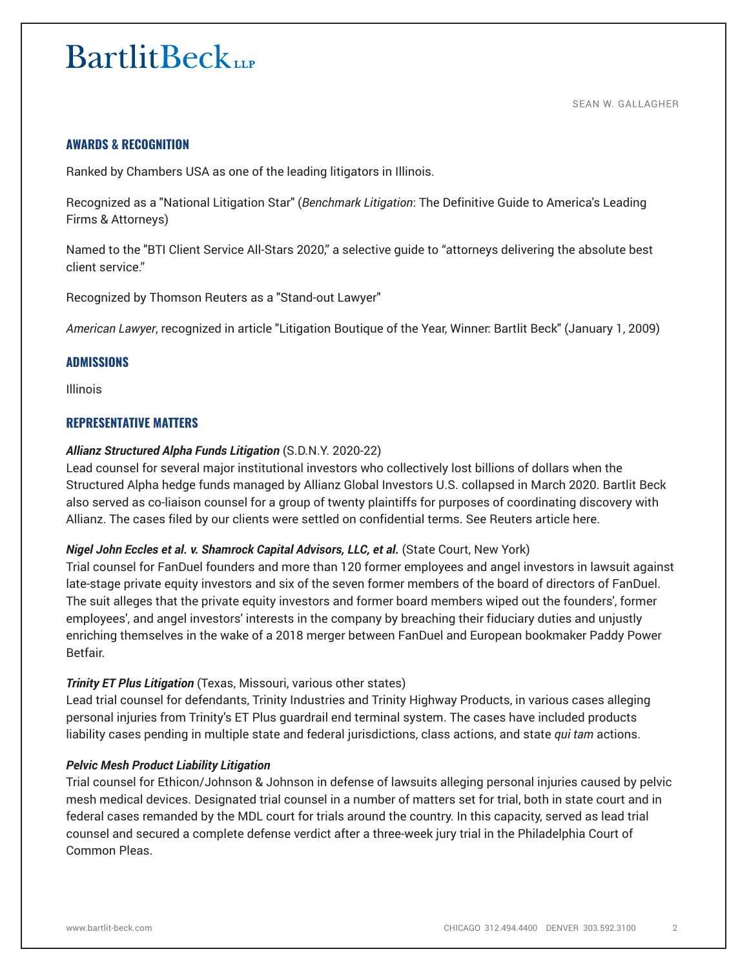# **AWARDS & RECOGNITION**

Ranked by Chambers USA as one of the leading litigators in Illinois.

Recognized as a "National Litigation Star" (*Benchmark Litigation*: The Definitive Guide to America's Leading Firms & Attorneys)

Named to the "BTI Client Service All-Stars 2020," a selective guide to "attorneys delivering the absolute best client service."

Recognized by Thomson Reuters as a "Stand-out Lawyer"

*American Lawyer*, recognized in article "Litigation Boutique of the Year, Winner: Bartlit Beck" (January 1, 2009)

## **ADMISSIONS**

Illinois

# **REPRESENTATIVE MATTERS**

## *Allianz Structured Alpha Funds Litigation* (S.D.N.Y. 2020-22)

Lead counsel for several major institutional investors who collectively lost billions of dollars when the Structured Alpha hedge funds managed by Allianz Global Investors U.S. collapsed in March 2020. Bartlit Beck also served as co-liaison counsel for a group of twenty plaintiffs for purposes of coordinating discovery with Allianz. The cases filed by our clients were settled on confidential terms. See Reuters article here.

#### *Nigel John Eccles et al. v. Shamrock Capital Advisors, LLC, et al.* (State Court, New York)

Trial counsel for FanDuel founders and more than 120 former employees and angel investors in lawsuit against late-stage private equity investors and six of the seven former members of the board of directors of FanDuel. The suit alleges that the private equity investors and former board members wiped out the founders', former employees', and angel investors' interests in the company by breaching their fiduciary duties and unjustly enriching themselves in the wake of a 2018 merger between FanDuel and European bookmaker Paddy Power Betfair.

# *Trinity ET Plus Litigation* (Texas, Missouri, various other states)

Lead trial counsel for defendants, Trinity Industries and Trinity Highway Products, in various cases alleging personal injuries from Trinity's ET Plus guardrail end terminal system. The cases have included products liability cases pending in multiple state and federal jurisdictions, class actions, and state *qui tam* actions.

#### *Pelvic Mesh Product Liability Litigation*

Trial counsel for Ethicon/Johnson & Johnson in defense of lawsuits alleging personal injuries caused by pelvic mesh medical devices. Designated trial counsel in a number of matters set for trial, both in state court and in federal cases remanded by the MDL court for trials around the country. In this capacity, served as lead trial counsel and secured a complete defense verdict after a three-week jury trial in the Philadelphia Court of Common Pleas.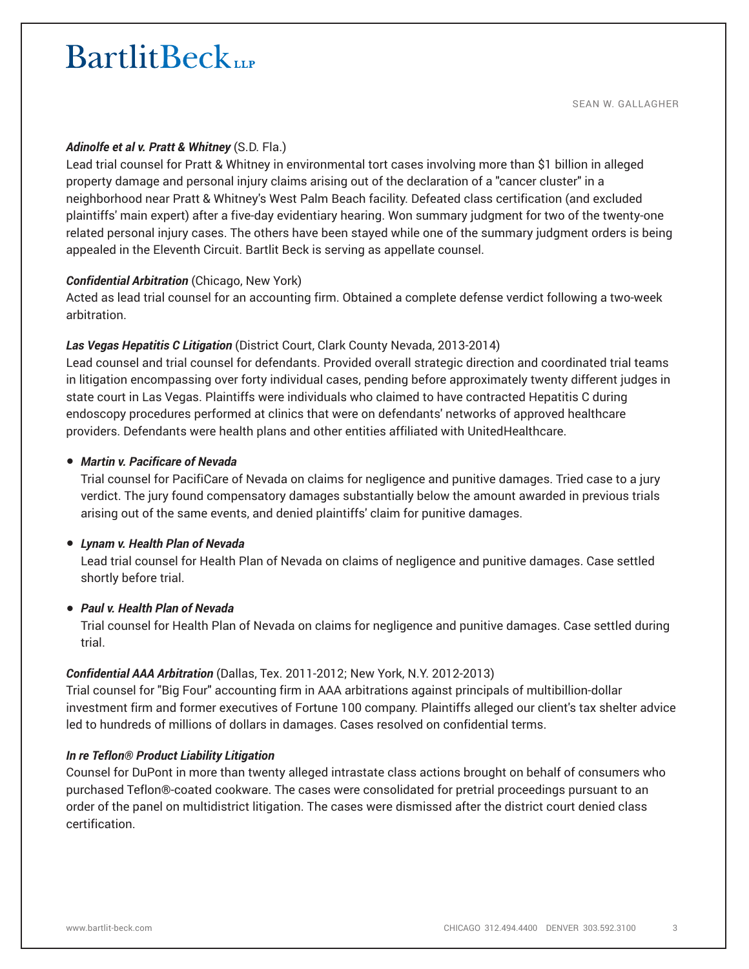# *Adinolfe et al v. Pratt & Whitney* (S.D. Fla.)

Lead trial counsel for Pratt & Whitney in environmental tort cases involving more than \$1 billion in alleged property damage and personal injury claims arising out of the declaration of a "cancer cluster" in a neighborhood near Pratt & Whitney's West Palm Beach facility. Defeated class certification (and excluded plaintiffs' main expert) after a five-day evidentiary hearing. Won summary judgment for two of the twenty-one related personal injury cases. The others have been stayed while one of the summary judgment orders is being appealed in the Eleventh Circuit. Bartlit Beck is serving as appellate counsel.

## *Confidential Arbitration* (Chicago, New York)

Acted as lead trial counsel for an accounting firm. Obtained a complete defense verdict following a two-week arbitration.

## *Las Vegas Hepatitis C Litigation* (District Court, Clark County Nevada, 2013-2014)

Lead counsel and trial counsel for defendants. Provided overall strategic direction and coordinated trial teams in litigation encompassing over forty individual cases, pending before approximately twenty different judges in state court in Las Vegas. Plaintiffs were individuals who claimed to have contracted Hepatitis C during endoscopy procedures performed at clinics that were on defendants' networks of approved healthcare providers. Defendants were health plans and other entities affiliated with UnitedHealthcare.

## ● *Martin v. Pacificare of Nevada*

Trial counsel for PacifiCare of Nevada on claims for negligence and punitive damages. Tried case to a jury verdict. The jury found compensatory damages substantially below the amount awarded in previous trials arising out of the same events, and denied plaintiffs' claim for punitive damages.

#### ● *Lynam v. Health Plan of Nevada*

Lead trial counsel for Health Plan of Nevada on claims of negligence and punitive damages. Case settled shortly before trial.

#### ● *Paul v. Health Plan of Nevada*

Trial counsel for Health Plan of Nevada on claims for negligence and punitive damages. Case settled during trial.

#### *Confidential AAA Arbitration* (Dallas, Tex. 2011-2012; New York, N.Y. 2012-2013)

Trial counsel for "Big Four" accounting firm in AAA arbitrations against principals of multibillion-dollar investment firm and former executives of Fortune 100 company. Plaintiffs alleged our client's tax shelter advice led to hundreds of millions of dollars in damages. Cases resolved on confidential terms.

#### *In re Teflon® Product Liability Litigation*

Counsel for DuPont in more than twenty alleged intrastate class actions brought on behalf of consumers who purchased Teflon®-coated cookware. The cases were consolidated for pretrial proceedings pursuant to an order of the panel on multidistrict litigation. The cases were dismissed after the district court denied class certification.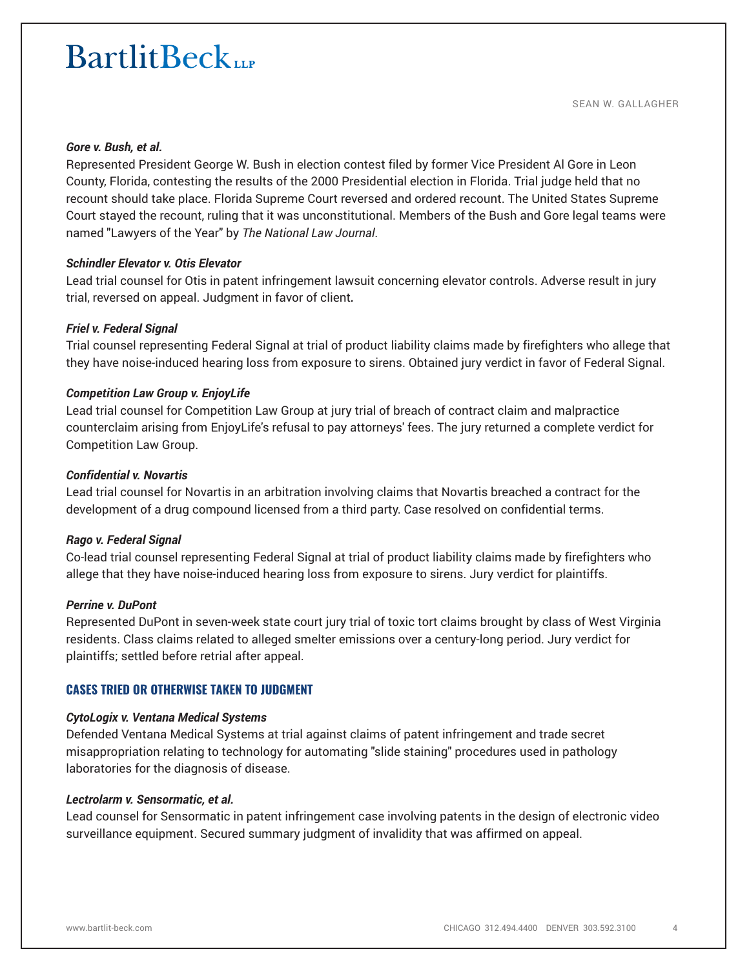#### *Gore v. Bush, et al.*

Represented President George W. Bush in election contest filed by former Vice President Al Gore in Leon County, Florida, contesting the results of the 2000 Presidential election in Florida. Trial judge held that no recount should take place. Florida Supreme Court reversed and ordered recount. The United States Supreme Court stayed the recount, ruling that it was unconstitutional. Members of the Bush and Gore legal teams were named "Lawyers of the Year" by *The National Law Journal*.

#### *Schindler Elevator v. Otis Elevator*

Lead trial counsel for Otis in patent infringement lawsuit concerning elevator controls. Adverse result in jury trial, reversed on appeal. Judgment in favor of client*.*

## *Friel v. Federal Signal*

Trial counsel representing Federal Signal at trial of product liability claims made by firefighters who allege that they have noise-induced hearing loss from exposure to sirens. Obtained jury verdict in favor of Federal Signal.

## *Competition Law Group v. EnjoyLife*

Lead trial counsel for Competition Law Group at jury trial of breach of contract claim and malpractice counterclaim arising from EnjoyLife's refusal to pay attorneys' fees. The jury returned a complete verdict for Competition Law Group.

#### *Confidential v. Novartis*

Lead trial counsel for Novartis in an arbitration involving claims that Novartis breached a contract for the development of a drug compound licensed from a third party. Case resolved on confidential terms.

#### *Rago v. Federal Signal*

Co-lead trial counsel representing Federal Signal at trial of product liability claims made by firefighters who allege that they have noise-induced hearing loss from exposure to sirens. Jury verdict for plaintiffs.

#### *Perrine v. DuPont*

Represented DuPont in seven-week state court jury trial of toxic tort claims brought by class of West Virginia residents. Class claims related to alleged smelter emissions over a century-long period. Jury verdict for plaintiffs; settled before retrial after appeal.

# **CASES TRIED OR OTHERWISE TAKEN TO JUDGMENT**

#### *CytoLogix v. Ventana Medical Systems*

Defended Ventana Medical Systems at trial against claims of patent infringement and trade secret misappropriation relating to technology for automating "slide staining" procedures used in pathology laboratories for the diagnosis of disease.

#### *Lectrolarm v. Sensormatic, et al.*

Lead counsel for Sensormatic in patent infringement case involving patents in the design of electronic video surveillance equipment. Secured summary judgment of invalidity that was affirmed on appeal.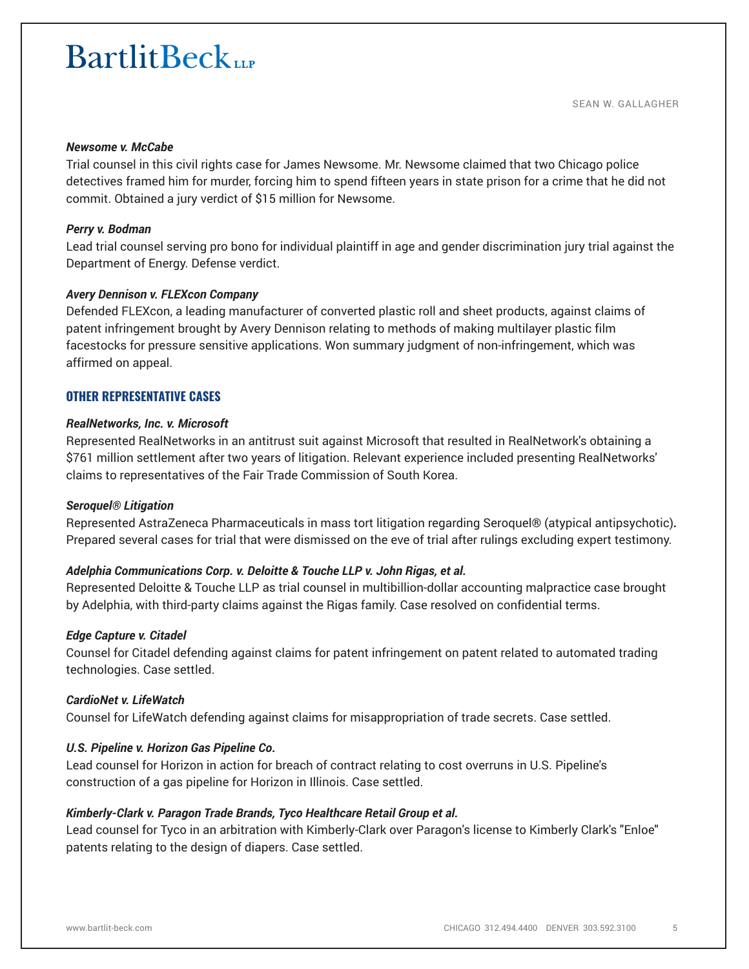#### *Newsome v. McCabe*

Trial counsel in this civil rights case for James Newsome. Mr. Newsome claimed that two Chicago police detectives framed him for murder, forcing him to spend fifteen years in state prison for a crime that he did not commit. Obtained a jury verdict of \$15 million for Newsome.

#### *Perry v. Bodman*

Lead trial counsel serving pro bono for individual plaintiff in age and gender discrimination jury trial against the Department of Energy. Defense verdict.

#### *Avery Dennison v. FLEXcon Company*

Defended FLEXcon, a leading manufacturer of converted plastic roll and sheet products, against claims of patent infringement brought by Avery Dennison relating to methods of making multilayer plastic film facestocks for pressure sensitive applications. Won summary judgment of non-infringement, which was affirmed on appeal.

# **OTHER REPRESENTATIVE CASES**

#### *RealNetworks, Inc. v. Microsoft*

Represented RealNetworks in an antitrust suit against Microsoft that resulted in RealNetwork's obtaining a \$761 million settlement after two years of litigation. Relevant experience included presenting RealNetworks' claims to representatives of the Fair Trade Commission of South Korea.

#### *Seroquel® Litigation*

Represented AstraZeneca Pharmaceuticals in mass tort litigation regarding Seroquel® (atypical antipsychotic)*.* Prepared several cases for trial that were dismissed on the eve of trial after rulings excluding expert testimony.

#### *Adelphia Communications Corp. v. Deloitte & Touche LLP v. John Rigas, et al.*

Represented Deloitte & Touche LLP as trial counsel in multibillion-dollar accounting malpractice case brought by Adelphia, with third-party claims against the Rigas family. Case resolved on confidential terms.

#### *Edge Capture v. Citadel*

Counsel for Citadel defending against claims for patent infringement on patent related to automated trading technologies. Case settled.

#### *CardioNet v. LifeWatch*

Counsel for LifeWatch defending against claims for misappropriation of trade secrets. Case settled.

#### *U.S. Pipeline v. Horizon Gas Pipeline Co.*

Lead counsel for Horizon in action for breach of contract relating to cost overruns in U.S. Pipeline's construction of a gas pipeline for Horizon in Illinois. Case settled.

#### *Kimberly-Clark v. Paragon Trade Brands, Tyco Healthcare Retail Group et al.*

Lead counsel for Tyco in an arbitration with Kimberly-Clark over Paragon's license to Kimberly Clark's "Enloe" patents relating to the design of diapers. Case settled.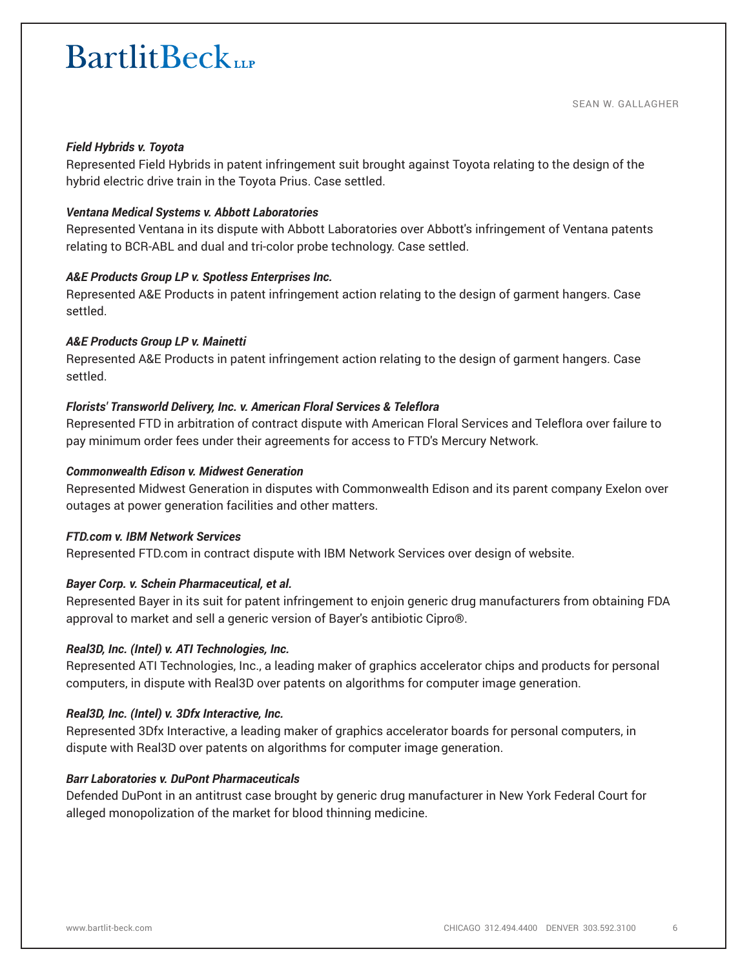### *Field Hybrids v. Toyota*

Represented Field Hybrids in patent infringement suit brought against Toyota relating to the design of the hybrid electric drive train in the Toyota Prius. Case settled.

# *Ventana Medical Systems v. Abbott Laboratories*

Represented Ventana in its dispute with Abbott Laboratories over Abbott's infringement of Ventana patents relating to BCR-ABL and dual and tri-color probe technology. Case settled.

## *A&E Products Group LP v. Spotless Enterprises Inc.*

Represented A&E Products in patent infringement action relating to the design of garment hangers. Case settled.

# *A&E Products Group LP v. Mainetti*

Represented A&E Products in patent infringement action relating to the design of garment hangers. Case settled.

# *Florists' Transworld Delivery, Inc. v. American Floral Services & Teleflora*

Represented FTD in arbitration of contract dispute with American Floral Services and Teleflora over failure to pay minimum order fees under their agreements for access to FTD's Mercury Network.

## *Commonwealth Edison v. Midwest Generation*

Represented Midwest Generation in disputes with Commonwealth Edison and its parent company Exelon over outages at power generation facilities and other matters.

#### *FTD.com v. IBM Network Services*

Represented FTD.com in contract dispute with IBM Network Services over design of website.

# *Bayer Corp. v. Schein Pharmaceutical, et al.*

Represented Bayer in its suit for patent infringement to enjoin generic drug manufacturers from obtaining FDA approval to market and sell a generic version of Bayer's antibiotic Cipro®.

#### *Real3D, Inc. (Intel) v. ATI Technologies, Inc.*

Represented ATI Technologies, Inc., a leading maker of graphics accelerator chips and products for personal computers, in dispute with Real3D over patents on algorithms for computer image generation.

# *Real3D, Inc. (Intel) v. 3Dfx Interactive, Inc.*

Represented 3Dfx Interactive, a leading maker of graphics accelerator boards for personal computers, in dispute with Real3D over patents on algorithms for computer image generation.

#### *Barr Laboratories v. DuPont Pharmaceuticals*

Defended DuPont in an antitrust case brought by generic drug manufacturer in New York Federal Court for alleged monopolization of the market for blood thinning medicine.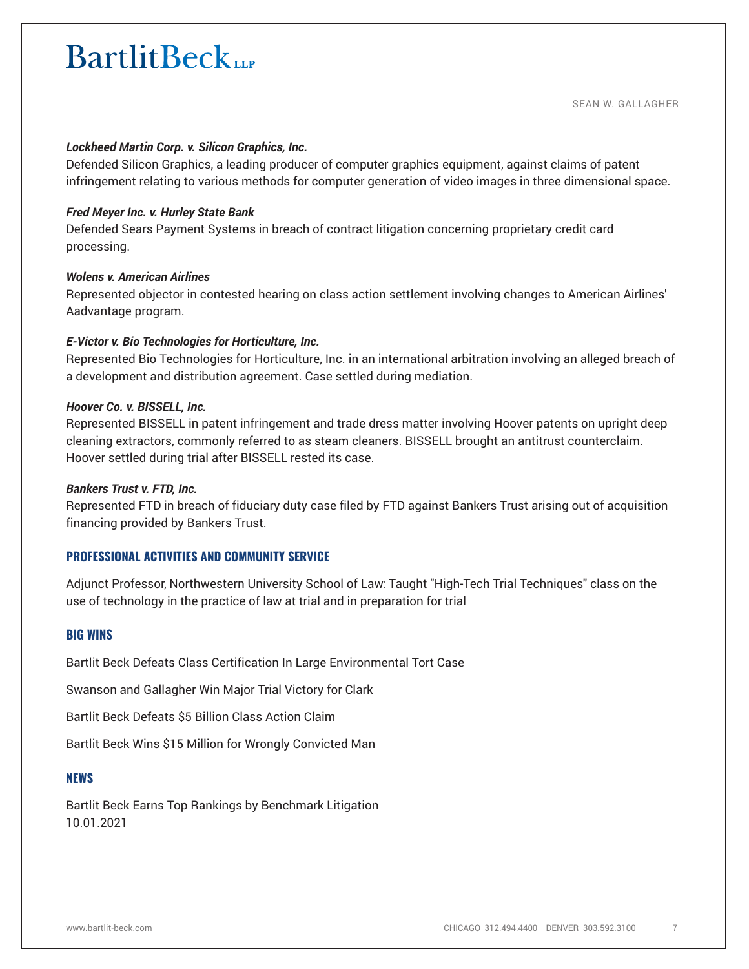## *Lockheed Martin Corp. v. Silicon Graphics, Inc.*

Defended Silicon Graphics, a leading producer of computer graphics equipment, against claims of patent infringement relating to various methods for computer generation of video images in three dimensional space.

#### *Fred Meyer Inc. v. Hurley State Bank*

Defended Sears Payment Systems in breach of contract litigation concerning proprietary credit card processing.

#### *Wolens v. American Airlines*

Represented objector in contested hearing on class action settlement involving changes to American Airlines' Aadvantage program.

#### *E-Victor v. Bio Technologies for Horticulture, Inc.*

Represented Bio Technologies for Horticulture, Inc. in an international arbitration involving an alleged breach of a development and distribution agreement. Case settled during mediation.

#### *Hoover Co. v. BISSELL, Inc.*

Represented BISSELL in patent infringement and trade dress matter involving Hoover patents on upright deep cleaning extractors, commonly referred to as steam cleaners. BISSELL brought an antitrust counterclaim. Hoover settled during trial after BISSELL rested its case.

#### *Bankers Trust v. FTD, Inc.*

Represented FTD in breach of fiduciary duty case filed by FTD against Bankers Trust arising out of acquisition financing provided by Bankers Trust.

#### **PROFESSIONAL ACTIVITIES AND COMMUNITY SERVICE**

Adjunct Professor, Northwestern University School of Law: Taught "High-Tech Trial Techniques" class on the use of technology in the practice of law at trial and in preparation for trial

#### **BIG WINS**

Bartlit Beck Defeats Class Certification In Large Environmental Tort Case

Swanson and Gallagher Win Major Trial Victory for Clark

Bartlit Beck Defeats \$5 Billion Class Action Claim

Bartlit Beck Wins \$15 Million for Wrongly Convicted Man

#### **NEWS**

Bartlit Beck Earns Top Rankings by Benchmark Litigation 10.01.2021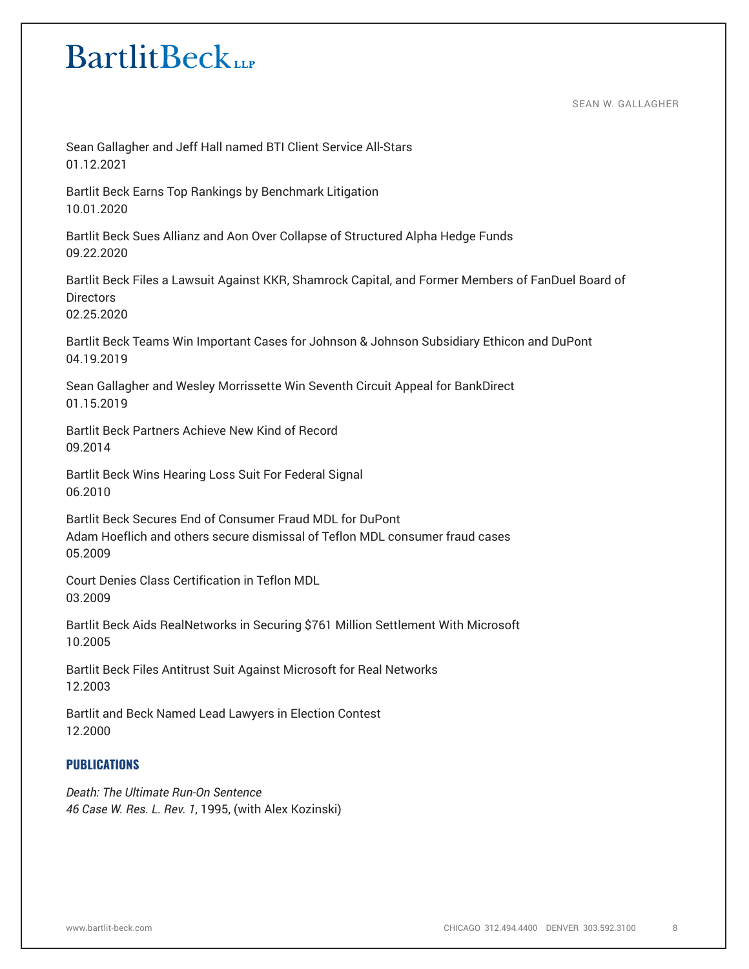SEAN W. GALLAGHER

Sean Gallagher and Jeff Hall named BTI Client Service All-Stars 01.12.2021

Bartlit Beck Earns Top Rankings by Benchmark Litigation 10.01.2020

Bartlit Beck Sues Allianz and Aon Over Collapse of Structured Alpha Hedge Funds 09.22.2020

Bartlit Beck Files a Lawsuit Against KKR, Shamrock Capital, and Former Members of FanDuel Board of **Directors** 02.25.2020

Bartlit Beck Teams Win Important Cases for Johnson & Johnson Subsidiary Ethicon and DuPont 04.19.2019

Sean Gallagher and Wesley Morrissette Win Seventh Circuit Appeal for BankDirect 01.15.2019

Bartlit Beck Partners Achieve New Kind of Record 09.2014

Bartlit Beck Wins Hearing Loss Suit For Federal Signal 06.2010

Bartlit Beck Secures End of Consumer Fraud MDL for DuPont Adam Hoeflich and others secure dismissal of Teflon MDL consumer fraud cases 05.2009

Court Denies Class Certification in Teflon MDL 03.2009

Bartlit Beck Aids RealNetworks in Securing \$761 Million Settlement With Microsoft 10.2005

Bartlit Beck Files Antitrust Suit Against Microsoft for Real Networks 12.2003

Bartlit and Beck Named Lead Lawyers in Election Contest 12.2000

# **PUBLICATIONS**

*Death: The Ultimate Run-On Sentence 46 Case W. Res. L. Rev. 1*, 1995, (with Alex Kozinski)